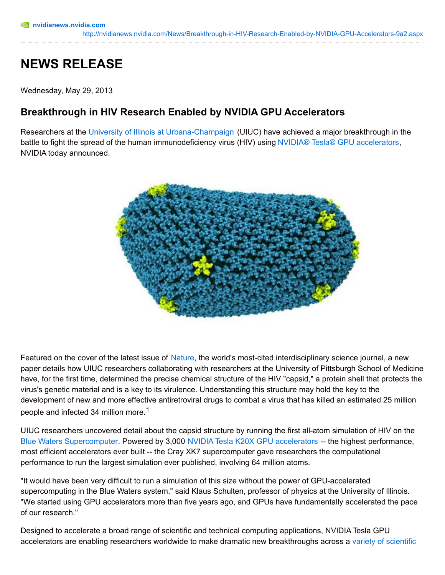# **NEWS RELEASE**

Wednesday, May 29, 2013

## **Breakthrough in HIV Research Enabled by NVIDIA GPU Accelerators**

Researchers at the University of Illinois at [Urbana-Champaign](http://ctt.marketwire.com/?release=1021428&id=3038809&type=1&url=http%3a%2f%2fwww.illinois.edu%2f) (UIUC) have achieved a major breakthrough in the battle to fight the spread of the human immunodeficiency virus (HIV) using NVIDIA® Tesla® GPU [accelerators](http://ctt.marketwire.com/?release=1021428&id=3038812&type=1&url=http%3a%2f%2fwww.nvidia.com%2fobject%2ftesla-supercomputing-solutions.html%23source%3dpr), NVIDIA today announced.



Featured on the cover of the latest issue of [Nature](http://www.nature.com/nature/journal/v497/n7451/full/nature12162.html), the world's most-cited interdisciplinary science journal, a new paper details how UIUC researchers collaborating with researchers at the University of Pittsburgh School of Medicine have, for the first time, determined the precise chemical structure of the HIV "capsid," a protein shell that protects the virus's genetic material and is a key to its virulence. Understanding this structure may hold the key to the development of new and more effective antiretroviral drugs to combat a virus that has killed an estimated 25 million people and infected 34 million more.<sup>1</sup>

UIUC researchers uncovered detail about the capsid structure by running the first all-atom simulation of HIV on the Blue Waters [Supercomputer](http://ctt.marketwire.com/?release=1021428&id=3038818&type=1&url=http%3a%2f%2fwww.ncsa.illinois.edu%2fBlueWaters%2f). Powered by 3,000 NVIDIA Tesla K20X GPU [accelerators](http://ctt.marketwire.com/?release=1021428&id=3038821&type=1&url=http%3a%2f%2fwww.nvidia.com%2fobject%2ftesla-servers.html%23source%3dpr) -- the highest performance, most efficient accelerators ever built -- the Cray XK7 supercomputer gave researchers the computational performance to run the largest simulation ever published, involving 64 million atoms.

"It would have been very difficult to run a simulation of this size without the power of GPU-accelerated supercomputing in the Blue Waters system," said Klaus Schulten, professor of physics at the University of Illinois. "We started using GPU accelerators more than five years ago, and GPUs have fundamentally accelerated the pace of our research."

Designed to accelerate a broad range of scientific and technical computing applications, NVIDIA Tesla GPU accelerators are enabling researchers worldwide to make dramatic new [breakthroughs](http://ctt.marketwire.com/?release=1021428&id=3038824&type=1&url=http%3a%2f%2fwww.nvidia.com%2fobject%2fgpu-applications-domain.html) across a variety of scientific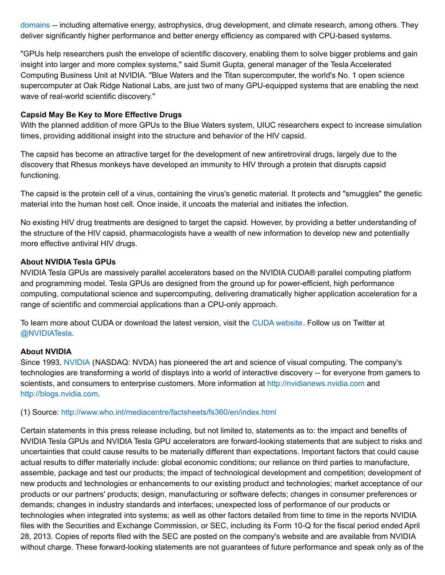domains -- including alternative energy, astrophysics, drug development, and climate research, among others. They deliver significantly higher performance and better energy efficiency as compared with CPU-based systems.

"GPUs help researchers push the envelope of scientific discovery, enabling them to solve bigger problems and gain insight into larger and more complex systems," said Sumit Gupta, general manager of the Tesla Accelerated Computing Business Unit at NVIDIA. "Blue Waters and the Titan supercomputer, the world's No. 1 open science supercomputer at Oak Ridge National Labs, are just two of many GPU-equipped systems that are enabling the next wave of real-world scientific discovery."

### **Capsid May Be Key to More Effective Drugs**

With the planned addition of more GPUs to the Blue Waters system, UIUC researchers expect to increase simulation times, providing additional insight into the structure and behavior of the HIV capsid.

The capsid has become an attractive target for the development of new antiretroviral drugs, largely due to the discovery that Rhesus monkeys have developed an immunity to HIV through a protein that disrupts capsid functioning.

The capsid is the protein cell of a virus, containing the virus's genetic material. It protects and "smuggles" the genetic material into the human host cell. Once inside, it uncoats the material and initiates the infection.

No existing HIV drug treatments are designed to target the capsid. However, by providing a better understanding of the structure of the HIV capsid, pharmacologists have a wealth of new information to develop new and potentially more effective antiviral HIV drugs.

#### **About NVIDIA Tesla GPUs**

NVIDIA Tesla GPUs are massively parallel accelerators based on the NVIDIA CUDA® parallel computing platform and programming model. Tesla GPUs are designed from the ground up for power-efficient, high performance computing, computational science and supercomputing, delivering dramatically higher application acceleration for a range of scientific and commercial applications than a CPU-only approach.

To learn more about CUDA or download the latest version, visit the CUDA [website](http://ctt.marketwire.com/?release=1021428&id=3038827&type=1&url=http%3a%2f%2fdeveloper.nvidia.com%2fcuda%23source%3dpr). Follow us on Twitter at [@NVIDIATesla](http://ctt.marketwire.com/?release=1021428&id=3038830&type=1&url=https%3a%2f%2ftwitter.com%2fNVIDIATesla).

#### **About NVIDIA**

Since 1993, [NVIDIA](http://ctt.marketwire.com/?release=1021428&id=3038833&type=1&url=http%3a%2f%2fwww.nvidia.com%2f%23source%3dpr) (NASDAQ: NVDA) has pioneered the art and science of visual computing. The company's technologies are transforming a world of displays into a world of interactive discovery -- for everyone from gamers to scientists, and consumers to enterprise customers. More information at [http://nvidianews.nvidia.com](http://ctt.marketwire.com/?release=1021428&id=3038836&type=1&url=http%3a%2f%2fnvidianews.nvidia.com%2f%23source%3dpr) and [http://blogs.nvidia.com](http://ctt.marketwire.com/?release=1021428&id=3038839&type=1&url=http%3a%2f%2fblogs.nvidia.com%2f%23source%3dpr).

(1) Source: [http://www.who.int/mediacentre/factsheets/fs360/en/index.html](http://ctt.marketwire.com/?release=1021428&id=3038842&type=1&url=http%3a%2f%2fwww.who.int%2fmediacentre%2ffactsheets%2ffs360%2fen%2findex.html)

Certain statements in this press release including, but not limited to, statements as to: the impact and benefits of NVIDIA Tesla GPUs and NVIDIA Tesla GPU accelerators are forward-looking statements that are subject to risks and uncertainties that could cause results to be materially different than expectations. Important factors that could cause actual results to differ materially include: global economic conditions; our reliance on third parties to manufacture, assemble, package and test our products; the impact of technological development and competition; development of new products and technologies or enhancements to our existing product and technologies; market acceptance of our products or our partners' products; design, manufacturing or software defects; changes in consumer preferences or demands; changes in industry standards and interfaces; unexpected loss of performance of our products or technologies when integrated into systems; as well as other factors detailed from time to time in the reports NVIDIA files with the Securities and Exchange Commission, or SEC, including its Form 10-Q for the fiscal period ended April 28, 2013. Copies of reports filed with the SEC are posted on the company's website and are available from NVIDIA without charge. These forward-looking statements are not guarantees of future performance and speak only as of the